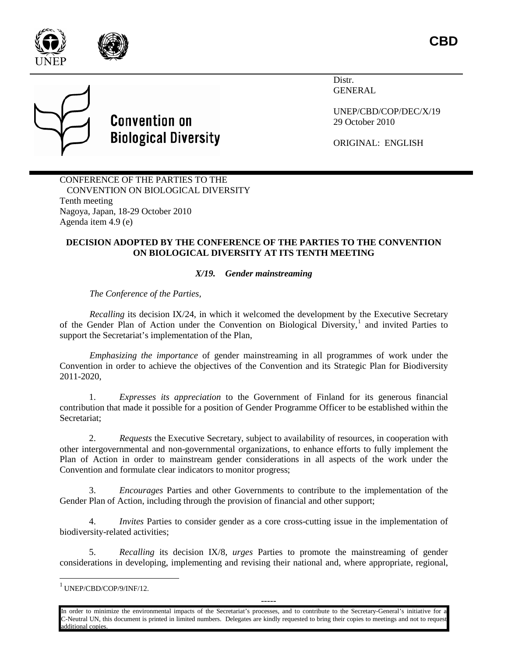





Distr. GENERAL

UNEP/CBD/COP/DEC/X/19 29 October 2010

ORIGINAL: ENGLISH

CONFERENCE OF THE PARTIES TO THE CONVENTION ON BIOLOGICAL DIVERSITY Tenth meeting Nagoya, Japan, 18-29 October 2010 Agenda item 4.9 (e)

## **DECISION ADOPTED BY THE CONFERENCE OF THE PARTIES TO THE CONVENTION ON BIOLOGICAL DIVERSITY AT ITS TENTH MEETING**

## *X/19. Gender mainstreaming*

*The Conference of the Parties,*

*Recalling* its decision IX/24, in which it welcomed the development by the Executive Secretary of the Gender Plan of Action under the Convention on Biological Diversity,<sup>[1](#page-0-0)</sup> and invited Parties to support the Secretariat's implementation of the Plan,

*Emphasizing the importance* of gender mainstreaming in all programmes of work under the Convention in order to achieve the objectives of the Convention and its Strategic Plan for Biodiversity 2011-2020,

1. *Expresses its appreciation* to the Government of Finland for its generous financial contribution that made it possible for a position of Gender Programme Officer to be established within the Secretariat;

2. *Requests* the Executive Secretary, subject to availability of resources, in cooperation with other intergovernmental and non-governmental organizations, to enhance efforts to fully implement the Plan of Action in order to mainstream gender considerations in all aspects of the work under the Convention and formulate clear indicators to monitor progress;

3. *Encourages* Parties and other Governments to contribute to the implementation of the Gender Plan of Action, including through the provision of financial and other support;

4. *Invites* Parties to consider gender as a core cross-cutting issue in the implementation of biodiversity-related activities;

5. *Recalling* its decision IX/8, *urges* Parties to promote the mainstreaming of gender considerations in developing, implementing and revising their national and, where appropriate, regional,

In order to minimize the environmental impacts of the Secretariat's processes, and to contribute to the Secretary-General's initiative for a C-Neutral UN, this document is printed in limited numbers. Delegates are kindly requested to bring their copies to meetings and not to request additional copies.

-----

<span id="page-0-0"></span> $^{1}$  UNEP/CBD/COP/9/INF/12.